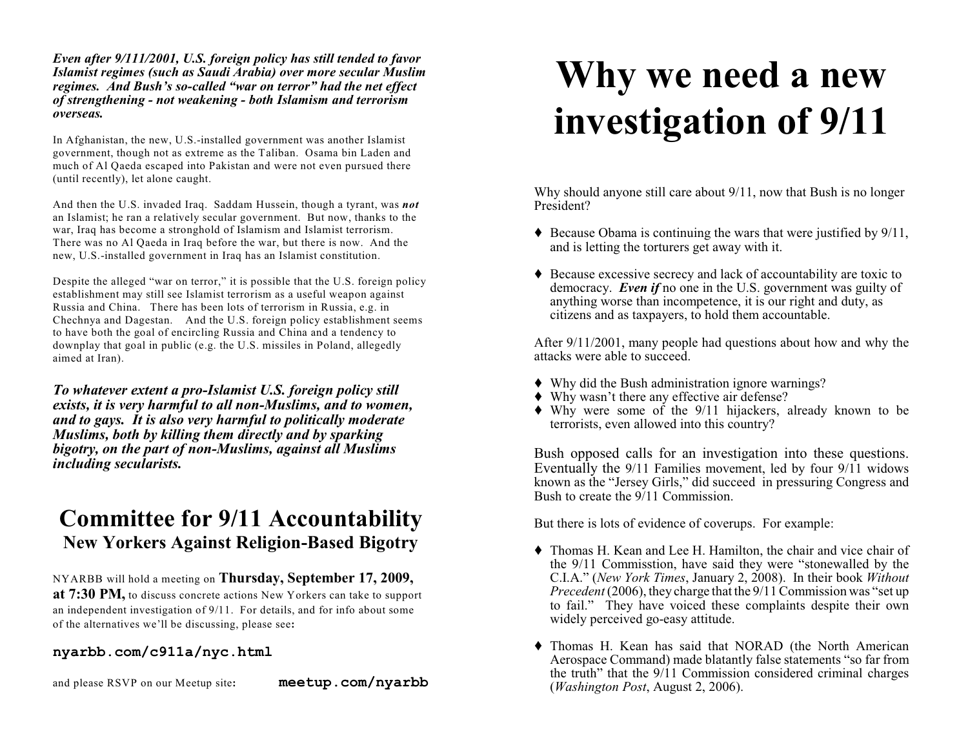*Even after 9/111/2001, U.S. foreign policy has still tended to favor Islamist regimes (such as Saudi Arabia) over more secular Muslim regimes. And Bush's so-called "war on terror" had the net effect of strengthening - not weakening - both Islamism and terrorism overseas.*

In Afghanistan, the new, U.S.-installed government was another Islamist government, though not as extreme as the Taliban. Osama bin Laden and much of Al Qaeda escaped into Pakistan and were not even pursued there (until recently), let alone caught.

And then the U.S. invaded Iraq. Saddam Hussein, though a tyrant, was *not* an Islamist; he ran a relatively secular government. But now, thanks to the war, Iraq has become a stronghold of Islamism and Islamist terrorism. There was no Al Qaeda in Iraq before the war, but there is now. And the new, U.S.-installed government in Iraq has an Islamist constitution.

Despite the alleged "war on terror," it is possible that the U.S. foreign policy establishment may still see Islamist terrorism as a useful weapon against Russia and China. There has been lots of terrorism in Russia, e.g. in Chechnya and Dagestan. And the U.S. foreign policy establishment seems to have both the goal of encircling Russia and China and a tendency to downplay that goal in public (e.g. the U.S. missiles in Poland, allegedly aimed at Iran).

*To whatever extent a pro-Islamist U.S. foreign policy still exists, it is very harmful to all non-Muslims, and to women, and to gays. It is also very harmful to politically moderate Muslims, both by killing them directly and by sparking bigotry, on the part of non-Muslims, against all Muslims including secularists.*

## **Committee for 9/11 Accountability New Yorkers Against Religion-Based Bigotry**

NYARBB will hold a meeting on **Thursday, September 17, 2009, at 7:30 PM,** to discuss concrete actions New Yorkers can take to support an independent investigation of 9/11. For details, and for info about some of the alternatives we'll be discussing, please see**:**

## **nyarbb.com/c911a/nyc.html**

and please RSVP on our Meetup site**: meetup.com/nyarbb**

## **Why we need a new investigation of 9/11**

Why should anyone still care about  $9/11$ , now that Bush is no longer President?

- $\blacklozenge$  Because Obama is continuing the wars that were justified by 9/11. and is letting the torturers get away with it.
- Because excessive secrecy and lack of accountability are toxic to democracy. *Even if* no one in the U.S. government was guilty of anything worse than incompetence, it is our right and duty, as citizens and as taxpayers, to hold them accountable.

After 9/11/2001, many people had questions about how and why the attacks were able to succeed.

- Why did the Bush administration ignore warnings?
- Why wasn't there any effective air defense?
- Why were some of the 9/11 hijackers, already known to be terrorists, even allowed into this country?

Bush opposed calls for an investigation into these questions. Eventually the 9/11 Families movement, led by four 9/11 widows known as the "Jersey Girls," did succeed in pressuring Congress and Bush to create the 9/11 Commission.

But there is lots of evidence of coverups. For example:

- Thomas H. Kean and Lee H. Hamilton, the chair and vice chair of the 9/11 Commisstion, have said they were "stonewalled by the C.I.A." (*New York Times*, January 2, 2008). In their book *Without Precedent* (2006), they charge that the 9/11 Commission was "set up to fail." They have voiced these complaints despite their own widely perceived go-easy attitude.
- Thomas H. Kean has said that NORAD (the North American Aerospace Command) made blatantly false statements "so far from the truth" that the 9/11 Commission considered criminal charges (*Washington Post*, August 2, 2006).